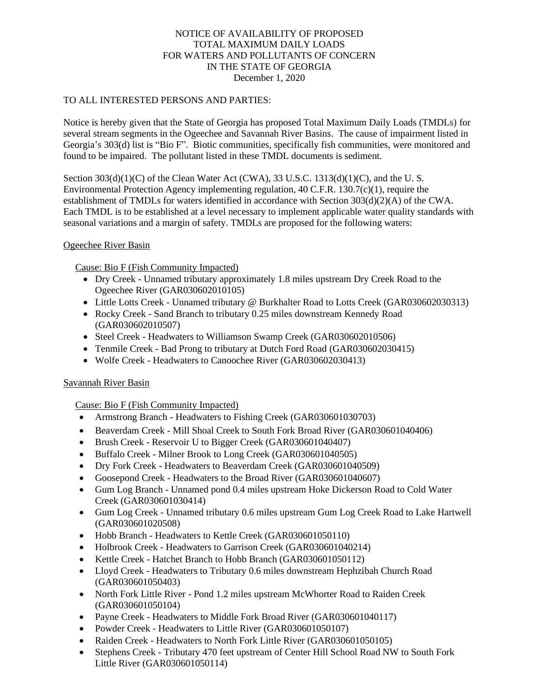## NOTICE OF AVAILABILITY OF PROPOSED TOTAL MAXIMUM DAILY LOADS FOR WATERS AND POLLUTANTS OF CONCERN IN THE STATE OF GEORGIA December 1, 2020

## TO ALL INTERESTED PERSONS AND PARTIES:

Notice is hereby given that the State of Georgia has proposed Total Maximum Daily Loads (TMDLs) for several stream segments in the Ogeechee and Savannah River Basins. The cause of impairment listed in Georgia's 303(d) list is "Bio F". Biotic communities, specifically fish communities, were monitored and found to be impaired. The pollutant listed in these TMDL documents is sediment.

Section  $303(d)(1)(C)$  of the Clean Water Act (CWA), 33 U.S.C. 1313(d)(1)(C), and the U.S. Environmental Protection Agency implementing regulation, 40 C.F.R. 130.7(c)(1), require the establishment of TMDLs for waters identified in accordance with Section 303(d)(2)(A) of the CWA. Each TMDL is to be established at a level necessary to implement applicable water quality standards with seasonal variations and a margin of safety. TMDLs are proposed for the following waters:

## Ogeechee River Basin

Cause: Bio F (Fish Community Impacted)

- Dry Creek Unnamed tributary approximately 1.8 miles upstream Dry Creek Road to the Ogeechee River (GAR030602010105)
- Little Lotts Creek Unnamed tributary @ Burkhalter Road to Lotts Creek (GAR030602030313)
- Rocky Creek Sand Branch to tributary 0.25 miles downstream Kennedy Road (GAR030602010507)
- Steel Creek Headwaters to Williamson Swamp Creek (GAR030602010506)
- Tenmile Creek Bad Prong to tributary at Dutch Ford Road (GAR030602030415)
- Wolfe Creek Headwaters to Canoochee River (GAR030602030413)

## Savannah River Basin

Cause: Bio F (Fish Community Impacted)

- Armstrong Branch Headwaters to Fishing Creek (GAR030601030703)
- Beaverdam Creek Mill Shoal Creek to South Fork Broad River (GAR030601040406)
- Brush Creek Reservoir U to Bigger Creek (GAR030601040407)
- Buffalo Creek Milner Brook to Long Creek (GAR030601040505)
- Dry Fork Creek Headwaters to Beaverdam Creek (GAR030601040509)
- Goosepond Creek Headwaters to the Broad River (GAR030601040607)
- Gum Log Branch Unnamed pond 0.4 miles upstream Hoke Dickerson Road to Cold Water Creek (GAR030601030414)
- Gum Log Creek Unnamed tributary 0.6 miles upstream Gum Log Creek Road to Lake Hartwell (GAR030601020508)
- Hobb Branch Headwaters to Kettle Creek (GAR030601050110)
- Holbrook Creek Headwaters to Garrison Creek (GAR030601040214)
- Kettle Creek Hatchet Branch to Hobb Branch (GAR030601050112)
- Lloyd Creek Headwaters to Tributary 0.6 miles downstream Hephzibah Church Road (GAR030601050403)
- North Fork Little River Pond 1.2 miles upstream McWhorter Road to Raiden Creek (GAR030601050104)
- Payne Creek Headwaters to Middle Fork Broad River (GAR030601040117)
- Powder Creek Headwaters to Little River (GAR030601050107)
- Raiden Creek Headwaters to North Fork Little River (GAR030601050105)
- Stephens Creek Tributary 470 feet upstream of Center Hill School Road NW to South Fork Little River (GAR030601050114)